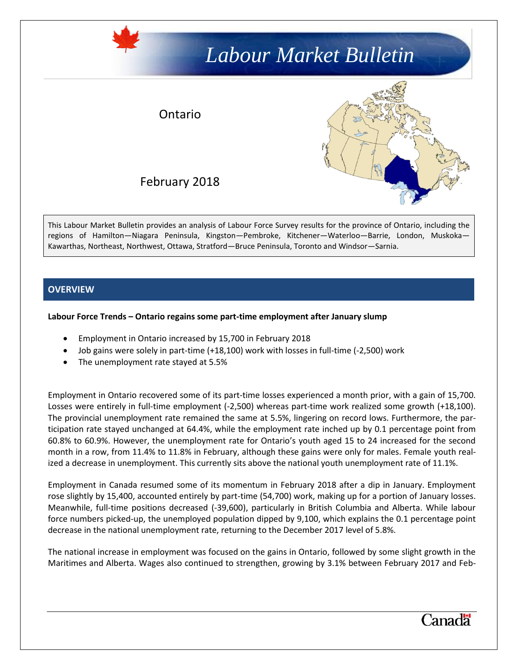# *Labour Market Bulletin*

## Ontario



February 2018

This Labour Market Bulletin provides an analysis of Labour Force Survey results for the province of Ontario, including the regions of Hamilton—Niagara Peninsula, Kingston—Pembroke, Kitchener—Waterloo—Barrie, London, Muskoka— Kawarthas, Northeast, Northwest, Ottawa, Stratford—Bruce Peninsula, Toronto and Windsor—Sarnia.

## **OVERVIEW**

#### **Labour Force Trends – Ontario regains some part-time employment after January slump**

- Employment in Ontario increased by 15,700 in February 2018
- Job gains were solely in part-time (+18,100) work with losses in full-time (-2,500) work
- The unemployment rate stayed at 5.5%

Employment in Ontario recovered some of its part-time losses experienced a month prior, with a gain of 15,700. Losses were entirely in full-time employment (-2,500) whereas part-time work realized some growth (+18,100). The provincial unemployment rate remained the same at 5.5%, lingering on record lows. Furthermore, the participation rate stayed unchanged at 64.4%, while the employment rate inched up by 0.1 percentage point from 60.8% to 60.9%. However, the unemployment rate for Ontario's youth aged 15 to 24 increased for the second month in a row, from 11.4% to 11.8% in February, although these gains were only for males. Female youth realized a decrease in unemployment. This currently sits above the national youth unemployment rate of 11.1%.

Employment in Canada resumed some of its momentum in February 2018 after a dip in January. Employment rose slightly by 15,400, accounted entirely by part-time (54,700) work, making up for a portion of January losses. Meanwhile, full-time positions decreased (-39,600), particularly in British Columbia and Alberta. While labour force numbers picked-up, the unemployed population dipped by 9,100, which explains the 0.1 percentage point decrease in the national unemployment rate, returning to the December 2017 level of 5.8%.

The national increase in employment was focused on the gains in Ontario, followed by some slight growth in the Maritimes and Alberta. Wages also continued to strengthen, growing by 3.1% between February 2017 and Feb-

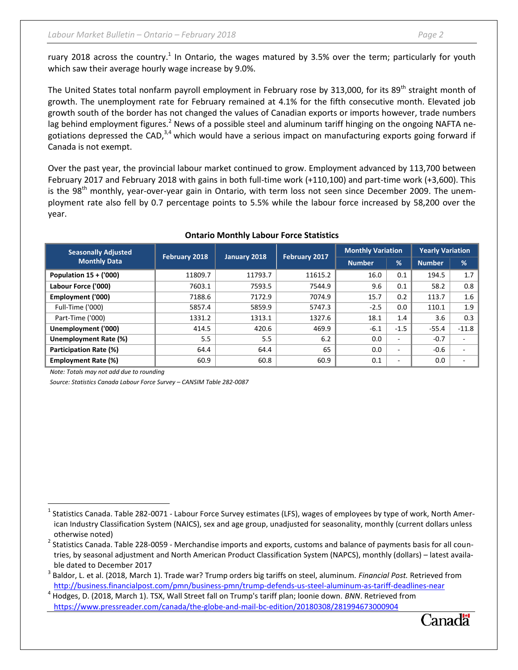ruary 2018 across the country.<sup>1</sup> In Ontario, the wages matured by 3.5% over the term; particularly for youth which saw their average hourly wage increase by 9.0%.

The United States total nonfarm payroll employment in February rose by 313,000, for its 89<sup>th</sup> straight month of growth. The unemployment rate for February remained at 4.1% for the fifth consecutive month. Elevated job growth south of the border has not changed the values of Canadian exports or imports however, trade numbers lag behind employment figures.<sup>2</sup> News of a possible steel and aluminum tariff hinging on the ongoing NAFTA negotiations depressed the CAD, $3,4$  which would have a serious impact on manufacturing exports going forward if Canada is not exempt.

Over the past year, the provincial labour market continued to grow. Employment advanced by 113,700 between February 2017 and February 2018 with gains in both full-time work (+110,100) and part-time work (+3,600). This is the 98<sup>th</sup> monthly, year-over-year gain in Ontario, with term loss not seen since December 2009. The unemployment rate also fell by 0.7 percentage points to 5.5% while the labour force increased by 58,200 over the year.

| <b>Seasonally Adjusted</b><br><b>Monthly Data</b> | February 2018 | January 2018 | February 2017 | <b>Monthly Variation</b> |                          | <b>Yearly Variation</b> |                          |
|---------------------------------------------------|---------------|--------------|---------------|--------------------------|--------------------------|-------------------------|--------------------------|
|                                                   |               |              |               | <b>Number</b>            | %                        | <b>Number</b>           | $\frac{9}{6}$            |
| Population $15 + (000)$                           | 11809.7       | 11793.7      | 11615.2       | 16.0                     | 0.1                      | 194.5                   | 1.7                      |
| Labour Force ('000)                               | 7603.1        | 7593.5       | 7544.9        | 9.6                      | 0.1                      | 58.2                    | 0.8                      |
| Employment ('000)                                 | 7188.6        | 7172.9       | 7074.9        | 15.7                     | 0.2                      | 113.7                   | 1.6                      |
| Full-Time ('000)                                  | 5857.4        | 5859.9       | 5747.3        | $-2.5$                   | 0.0                      | 110.1                   | 1.9                      |
| Part-Time ('000)                                  | 1331.2        | 1313.1       | 1327.6        | 18.1                     | 1.4                      | 3.6                     | 0.3                      |
| Unemployment ('000)                               | 414.5         | 420.6        | 469.9         | $-6.1$                   | $-1.5$                   | $-55.4$                 | $-11.8$                  |
| Unemployment Rate (%)                             | 5.5           | 5.5          | 6.2           | 0.0                      | ٠.                       | $-0.7$                  | ٠                        |
| Participation Rate (%)                            | 64.4          | 64.4         | 65            | 0.0                      | $\overline{\phantom{a}}$ | $-0.6$                  | $\sim$                   |
| <b>Employment Rate (%)</b>                        | 60.9          | 60.8         | 60.9          | 0.1                      | $\overline{\phantom{a}}$ | 0.0                     | $\overline{\phantom{a}}$ |

#### **Ontario Monthly Labour Force Statistics**

*Note: Totals may not add due to rounding*

 $\overline{\phantom{a}}$ 

*Source: Statistics Canada Labour Force Survey – CANSIM Table 282-0087*



 $^1$  Statistics Canada. Table 282-0071 - Labour Force Survey estimates (LFS), wages of employees by type of work, North American Industry Classification System (NAICS), sex and age group, unadjusted for seasonality, monthly (current dollars unless otherwise noted)

 $^2$  Statistics Canada. Table 228-0059 - Merchandise imports and exports, customs and balance of payments basis for all countries, by seasonal adjustment and North American Product Classification System (NAPCS), monthly (dollars) – latest available dated to December 2017

<sup>3</sup> Baldor, L. et al. (2018, March 1). Trade war? Trump orders big tariffs on steel, aluminum. *Financial Post.* Retrieved from <http://business.financialpost.com/pmn/business-pmn/trump-defends-us-steel-aluminum-as-tariff-deadlines-near>

<sup>4</sup> Hodges, D. (2018, March 1). TSX, Wall Street fall on Trump's tariff plan; loonie down. *BNN*. Retrieved from <https://www.pressreader.com/canada/the-globe-and-mail-bc-edition/20180308/281994673000904>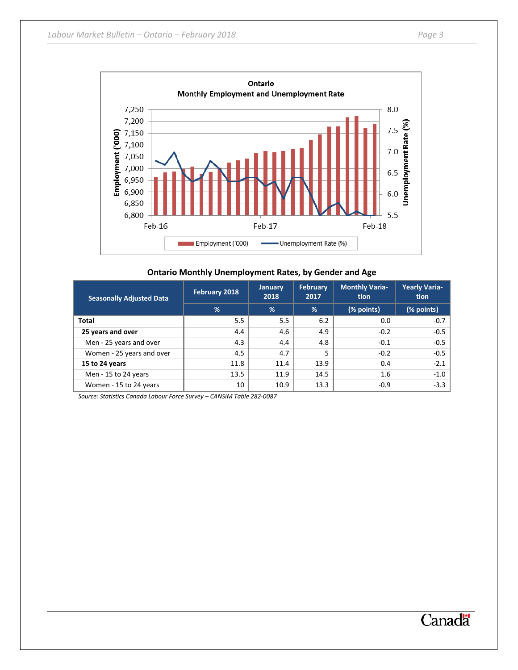

|  | <b>Ontario Monthly Unemployment Rates, by Gender and Age</b> |  |  |  |
|--|--------------------------------------------------------------|--|--|--|
|--|--------------------------------------------------------------|--|--|--|

| <b>Seasonally Adjusted Data</b> | February 2018 | <b>January</b><br>2018 | <b>February</b><br>2017 | <b>Monthly Varia-</b><br>tion | <b>Yearly Varia-</b><br>tion |
|---------------------------------|---------------|------------------------|-------------------------|-------------------------------|------------------------------|
|                                 | %             | %                      | %                       | (% points)                    | (% points)                   |
| Total                           | 5.5           | 5.5                    | 6.2                     | 0.0                           | $-0.7$                       |
| 25 years and over               | 4.4           | 4.6                    | 4.9                     | $-0.2$                        | $-0.5$                       |
| Men - 25 years and over         | 4.3           | 4.4                    | 4.8                     | $-0.1$                        | $-0.5$                       |
| Women - 25 years and over       | 4.5           | 4.7                    | 5                       | $-0.2$                        | $-0.5$                       |
| 15 to 24 years                  | 11.8          | 11.4                   | 13.9                    | 0.4                           | $-2.1$                       |
| Men - 15 to 24 years            | 13.5          | 11.9                   | 14.5                    | 1.6                           | $-1.0$                       |
| Women - 15 to 24 years          | 10            | 10.9                   | 13.3                    | $-0.9$                        | $-3.3$                       |

*Source: Statistics Canada Labour Force Survey – CANSIM Table 282-0087*

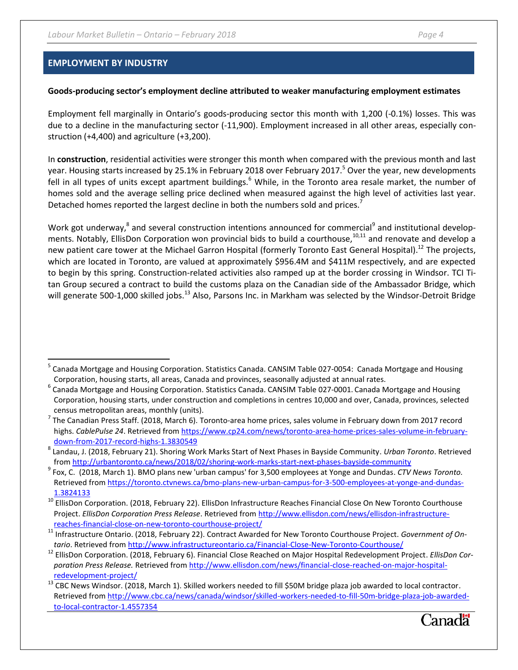### **EMPLOYMENT BY INDUSTRY**

 $\overline{\phantom{a}}$ 

#### **Goods-producing sector's employment decline attributed to weaker manufacturing employment estimates**

Employment fell marginally in Ontario's goods-producing sector this month with 1,200 (-0.1%) losses. This was due to a decline in the manufacturing sector (-11,900). Employment increased in all other areas, especially construction (+4,400) and agriculture (+3,200).

In **construction**, residential activities were stronger this month when compared with the previous month and last year. Housing starts increased by 25.1% in February 2018 over February 2017.<sup>5</sup> Over the year, new developments fell in all types of units except apartment buildings.<sup>6</sup> While, in the Toronto area resale market, the number of homes sold and the average selling price declined when measured against the high level of activities last year. Detached homes reported the largest decline in both the numbers sold and prices.<sup>7</sup>

Work got underway,<sup>8</sup> and several construction intentions announced for commercial<sup>9</sup> and institutional developments. Notably, EllisDon Corporation won provincial bids to build a courthouse,  $10,111$  and renovate and develop a new patient care tower at the Michael Garron Hospital (formerly Toronto East General Hospital).<sup>12</sup> The projects, which are located in Toronto, are valued at approximately \$956.4M and \$411M respectively, and are expected to begin by this spring. Construction-related activities also ramped up at the border crossing in Windsor. TCI Titan Group secured a contract to build the customs plaza on the Canadian side of the Ambassador Bridge, which will generate 500-1,000 skilled jobs.<sup>13</sup> Also, Parsons Inc. in Markham was selected by the Windsor-Detroit Bridge

<sup>&</sup>lt;sup>13</sup> CBC News Windsor. (2018, March 1). Skilled workers needed to fill \$50M bridge plaza job awarded to local contractor. Retrieved from [http://www.cbc.ca/news/canada/windsor/skilled-workers-needed-to-fill-50m-bridge-plaza-job-awarded](http://www.cbc.ca/news/canada/windsor/skilled-workers-needed-to-fill-50m-bridge-plaza-job-awarded-to-local-contractor-1.4557354)[to-local-contractor-1.4557354](http://www.cbc.ca/news/canada/windsor/skilled-workers-needed-to-fill-50m-bridge-plaza-job-awarded-to-local-contractor-1.4557354)



<sup>&</sup>lt;sup>5</sup> Canada Mortgage and Housing Corporation. Statistics Canada. CANSIM Table 027-0054: Canada Mortgage and Housing Corporation, housing starts, all areas, Canada and provinces, seasonally adjusted at annual rates.

<sup>&</sup>lt;sup>6</sup> Canada Mortgage and Housing Corporation. Statistics Canada. CANSIM Table 027-0001. Canada Mortgage and Housing Corporation, housing starts, under construction and completions in centres 10,000 and over, Canada, provinces, selected census metropolitan areas, monthly (units).

 $^7$  The Canadian Press Staff. (2018, March 6). Toronto-area home prices, sales volume in February down from 2017 record highs. *CablePulse 24*. Retrieved fro[m https://www.cp24.com/news/toronto-area-home-prices-sales-volume-in-february](https://www.cp24.com/news/toronto-area-home-prices-sales-volume-in-february-down-from-2017-record-highs-1.3830549)[down-from-2017-record-highs-1.3830549](https://www.cp24.com/news/toronto-area-home-prices-sales-volume-in-february-down-from-2017-record-highs-1.3830549)

<sup>8</sup> Landau, J. (2018, February 21). Shoring Work Marks Start of Next Phases in Bayside Community. *Urban Toronto*. Retrieved from<http://urbantoronto.ca/news/2018/02/shoring-work-marks-start-next-phases-bayside-community>

<sup>9</sup> Fox, C. (2018, March 1). BMO plans new 'urban campus' for 3,500 employees at Yonge and Dundas. *CTV News Toronto.* Retrieved from [https://toronto.ctvnews.ca/bmo-plans-new-urban-campus-for-3-500-employees-at-yonge-and-dundas-](https://toronto.ctvnews.ca/bmo-plans-new-urban-campus-for-3-500-employees-at-yonge-and-dundas-1.3824133)[1.3824133](https://toronto.ctvnews.ca/bmo-plans-new-urban-campus-for-3-500-employees-at-yonge-and-dundas-1.3824133)

<sup>&</sup>lt;sup>10</sup> EllisDon Corporation. (2018, February 22). EllisDon Infrastructure Reaches Financial Close On New Toronto Courthouse Project. *EllisDon Corporation Press Release*. Retrieved fro[m http://www.ellisdon.com/news/ellisdon-infrastructure](http://www.ellisdon.com/news/ellisdon-infrastructure-reaches-financial-close-on-new-toronto-courthouse-project/)[reaches-financial-close-on-new-toronto-courthouse-project/](http://www.ellisdon.com/news/ellisdon-infrastructure-reaches-financial-close-on-new-toronto-courthouse-project/)

<sup>11</sup> Infrastructure Ontario. (2018, February 22). Contract Awarded for New Toronto Courthouse Project. *Government of Ontario*. Retrieved fro[m http://www.infrastructureontario.ca/Financial-Close-New-Toronto-Courthouse/](http://www.infrastructureontario.ca/Financial-Close-New-Toronto-Courthouse/)

<sup>12</sup> EllisDon Corporation. (2018, February 6). Financial Close Reached on Major Hospital Redevelopment Project. *EllisDon Corporation Press Release.* Retrieved fro[m http://www.ellisdon.com/news/financial-close-reached-on-major-hospital](http://www.ellisdon.com/news/financial-close-reached-on-major-hospital-redevelopment-project/)[redevelopment-project/](http://www.ellisdon.com/news/financial-close-reached-on-major-hospital-redevelopment-project/)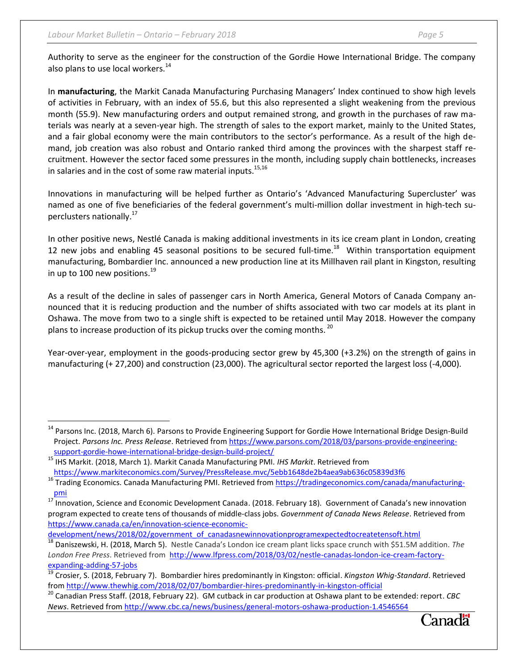$\overline{\phantom{a}}$ 

Authority to serve as the engineer for the construction of the Gordie Howe International Bridge. The company also plans to use local workers.<sup>14</sup>

In **manufacturing**, the Markit Canada Manufacturing Purchasing Managers' Index continued to show high levels of activities in February, with an index of 55.6, but this also represented a slight weakening from the previous month (55.9). New manufacturing orders and output remained strong, and growth in the purchases of raw materials was nearly at a seven-year high. The strength of sales to the export market, mainly to the United States, and a fair global economy were the main contributors to the sector's performance. As a result of the high demand, job creation was also robust and Ontario ranked third among the provinces with the sharpest staff recruitment. However the sector faced some pressures in the month, including supply chain bottlenecks, increases in salaries and in the cost of some raw material inputs.<sup>15,16</sup>

Innovations in manufacturing will be helped further as Ontario's 'Advanced Manufacturing Supercluster' was named as one of five beneficiaries of the federal government's multi-million dollar investment in high-tech superclusters nationally.<sup>17</sup>

In other positive news, Nestlé Canada is making additional investments in its ice cream plant in London, creating 12 new jobs and enabling 45 seasonal positions to be secured full-time.<sup>18</sup> Within transportation equipment manufacturing, Bombardier Inc. announced a new production line at its Millhaven rail plant in Kingston, resulting in up to 100 new positions. $^{19}$ 

As a result of the decline in sales of passenger cars in North America, General Motors of Canada Company announced that it is reducing production and the number of shifts associated with two car models at its plant in Oshawa. The move from two to a single shift is expected to be retained until May 2018. However the company plans to increase production of its pickup trucks over the coming months.  $^{20}$ 

Year-over-year, employment in the goods-producing sector grew by 45,300 (+3.2%) on the strength of gains in manufacturing (+ 27,200) and construction (23,000). The agricultural sector reported the largest loss (-4,000).

[development/news/2018/02/government\\_of\\_canadasnewinnovationprogramexpectedtocreatetensoft.html](https://www.canada.ca/en/innovation-science-economic-development/news/2018/02/government_of_canadasnewinnovationprogramexpectedtocreatetensoft.html)

<sup>20</sup> Canadian Press Staff. (2018, February 22). GM cutback in car production at Oshawa plant to be extended: report. *CBC News*. Retrieved from<http://www.cbc.ca/news/business/general-motors-oshawa-production-1.4546564>



<sup>&</sup>lt;sup>14</sup> Parsons Inc. (2018, March 6). Parsons to Provide Engineering Support for Gordie Howe International Bridge Design-Build Project. *Parsons Inc. Press Release*. Retrieved from [https://www.parsons.com/2018/03/parsons-provide-engineering](https://www.parsons.com/2018/03/parsons-provide-engineering-support-gordie-howe-international-bridge-design-build-project/)[support-gordie-howe-international-bridge-design-build-project/](https://www.parsons.com/2018/03/parsons-provide-engineering-support-gordie-howe-international-bridge-design-build-project/)

<sup>15</sup> IHS Markit. (2018, March 1). Markit Canada Manufacturing PMI. *IHS Markit*. Retrieved from <https://www.markiteconomics.com/Survey/PressRelease.mvc/5ebb1648de2b4aea9ab636c05839d3f6>

<sup>&</sup>lt;sup>16</sup> Trading Economics. Canada Manufacturing PMI. Retrieved from [https://tradingeconomics.com/canada/manufacturing](https://tradingeconomics.com/canada/manufacturing-pmi)[pmi](https://tradingeconomics.com/canada/manufacturing-pmi) 

<sup>&</sup>lt;sup>17</sup> Innovation, Science and Economic Development Canada. (2018. February 18). Government of Canada's new innovation program expected to create tens of thousands of middle-class jobs. *Government of Canada News Release*. Retrieved from [https://www.canada.ca/en/innovation-science-economic-](https://www.canada.ca/en/innovation-science-economic-development/news/2018/02/government_of_canadasnewinnovationprogramexpectedtocreatetensoft.html)

<sup>18</sup> Daniszewski, H. (2018, March 5). Nestle Canada's London ice cream plant licks space crunch with \$51.5M addition. *The London Free Press*. Retrieved from [http://www.lfpress.com/2018/03/02/nestle-canadas-london-ice-cream-factory](http://www.lfpress.com/2018/03/02/nestle-canadas-london-ice-cream-factory-expanding-adding-57-jobs)[expanding-adding-57-jobs](http://www.lfpress.com/2018/03/02/nestle-canadas-london-ice-cream-factory-expanding-adding-57-jobs)

<sup>19</sup> Crosier, S. (2018, February 7). Bombardier hires predominantly in Kingston: official. *Kingston Whig-Standard*. Retrieved from<http://www.thewhig.com/2018/02/07/bombardier-hires-predominantly-in-kingston-official>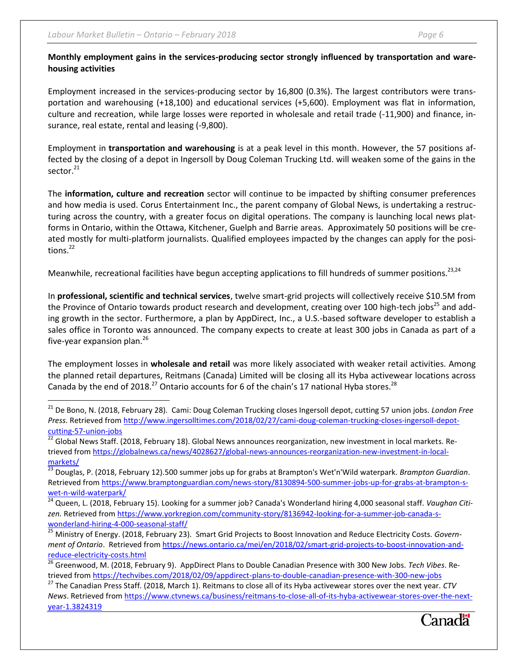$\overline{\phantom{a}}$ 

## **Monthly employment gains in the services-producing sector strongly influenced by transportation and warehousing activities**

Employment increased in the services-producing sector by 16,800 (0.3%). The largest contributors were transportation and warehousing (+18,100) and educational services (+5,600). Employment was flat in information, culture and recreation, while large losses were reported in wholesale and retail trade (-11,900) and finance, insurance, real estate, rental and leasing (-9,800).

Employment in **transportation and warehousing** is at a peak level in this month. However, the 57 positions affected by the closing of a depot in Ingersoll by Doug Coleman Trucking Ltd. will weaken some of the gains in the sector.<sup>21</sup>

The **information, culture and recreation** sector will continue to be impacted by shifting consumer preferences and how media is used. Corus Entertainment Inc., the parent company of Global News, is undertaking a restructuring across the country, with a greater focus on digital operations. The company is launching local news platforms in Ontario, within the Ottawa, Kitchener, Guelph and Barrie areas. Approximately 50 positions will be created mostly for multi-platform journalists. Qualified employees impacted by the changes can apply for the positions. $^{22}$ 

Meanwhile, recreational facilities have begun accepting applications to fill hundreds of summer positions.<sup>23,24</sup>

In **professional, scientific and technical services**, twelve smart-grid projects will collectively receive \$10.5M from the Province of Ontario towards product research and development, creating over 100 high-tech jobs<sup>25</sup> and adding growth in the sector. Furthermore, a plan by AppDirect, Inc., a U.S.-based software developer to establish a sales office in Toronto was announced. The company expects to create at least 300 jobs in Canada as part of a five-year expansion plan. $^{26}$ 

The employment losses in **wholesale and retail** was more likely associated with weaker retail activities. Among the planned retail departures, Reitmans (Canada) Limited will be closing all its Hyba activewear locations across Canada by the end of 2018.<sup>27</sup> Ontario accounts for 6 of the chain's 17 national Hyba stores.<sup>28</sup>

<sup>23</sup> Douglas, P. (2018, February 12).500 summer jobs up for grabs at Brampton's Wet'n'Wild waterpark. *Brampton Guardian*. Retrieved from [https://www.bramptonguardian.com/news-story/8130894-500-summer-jobs-up-for-grabs-at-brampton-s](https://www.bramptonguardian.com/news-story/8130894-500-summer-jobs-up-for-grabs-at-brampton-s-wet-n-wild-waterpark/)[wet-n-wild-waterpark/](https://www.bramptonguardian.com/news-story/8130894-500-summer-jobs-up-for-grabs-at-brampton-s-wet-n-wild-waterpark/)

<sup>27</sup> The Canadian Press Staff. (2018, March 1). Reitmans to close all of its Hyba activewear stores over the next year. *CTV News*. Retrieved from [https://www.ctvnews.ca/business/reitmans-to-close-all-of-its-hyba-activewear-stores-over-the-next](https://www.ctvnews.ca/business/reitmans-to-close-all-of-its-hyba-activewear-stores-over-the-next-year-1.3824319)[year-1.3824319](https://www.ctvnews.ca/business/reitmans-to-close-all-of-its-hyba-activewear-stores-over-the-next-year-1.3824319) 



<sup>21</sup> De Bono, N. (2018, February 28). Cami: Doug Coleman Trucking closes Ingersoll depot, cutting 57 union jobs. *London Free Press*. Retrieved from [http://www.ingersolltimes.com/2018/02/27/cami-doug-coleman-trucking-closes-ingersoll-depot](http://www.ingersolltimes.com/2018/02/27/cami-doug-coleman-trucking-closes-ingersoll-depot-cutting-57-union-jobs)[cutting-57-union-jobs](http://www.ingersolltimes.com/2018/02/27/cami-doug-coleman-trucking-closes-ingersoll-depot-cutting-57-union-jobs)

<sup>22</sup> Global News Staff. (2018, February 18). Global News announces reorganization, new investment in local markets. Retrieved from [https://globalnews.ca/news/4028627/global-news-announces-reorganization-new-investment-in-local](https://globalnews.ca/news/4028627/global-news-announces-reorganization-new-investment-in-local-markets/)[markets/](https://globalnews.ca/news/4028627/global-news-announces-reorganization-new-investment-in-local-markets/) 

<sup>24</sup> Queen, L. (2018, February 15). Looking for a summer job? Canada's Wonderland hiring 4,000 seasonal staff. *Vaughan Citi*zen. Retrieved from [https://www.yorkregion.com/community-story/8136942-looking-for-a-summer-job-canada-s](https://www.yorkregion.com/community-story/8136942-looking-for-a-summer-job-canada-s-wonderland-hiring-4-000-seasonal-staff/)[wonderland-hiring-4-000-seasonal-staff/](https://www.yorkregion.com/community-story/8136942-looking-for-a-summer-job-canada-s-wonderland-hiring-4-000-seasonal-staff/)

<sup>25</sup> Ministry of Energy. (2018, February 23). Smart Grid Projects to Boost Innovation and Reduce Electricity Costs. *Government of Ontario*. Retrieved from [https://news.ontario.ca/mei/en/2018/02/smart-grid-projects-to-boost-innovation-and](https://news.ontario.ca/mei/en/2018/02/smart-grid-projects-to-boost-innovation-and-reduce-electricity-costs.html)[reduce-electricity-costs.html](https://news.ontario.ca/mei/en/2018/02/smart-grid-projects-to-boost-innovation-and-reduce-electricity-costs.html)

<sup>26</sup> Greenwood, M. (2018, February 9). AppDirect Plans to Double Canadian Presence with 300 New Jobs. *Tech Vibes*. Retrieved from<https://techvibes.com/2018/02/09/appdirect-plans-to-double-canadian-presence-with-300-new-jobs>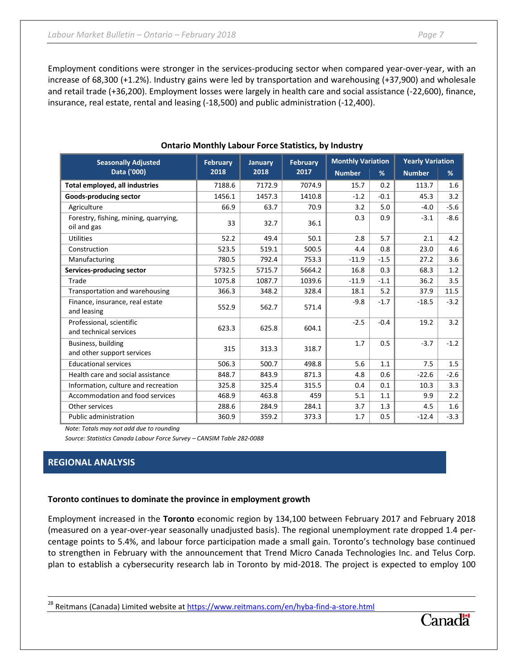Employment conditions were stronger in the services-producing sector when compared year-over-year, with an increase of 68,300 (+1.2%). Industry gains were led by transportation and warehousing (+37,900) and wholesale and retail trade (+36,200). Employment losses were largely in health care and social assistance (-22,600), finance, insurance, real estate, rental and leasing (-18,500) and public administration (-12,400).

| <b>Seasonally Adjusted</b>                           | <b>February</b> | <b>January</b><br>2018 | <b>February</b> | <b>Monthly Variation</b> |        | <b>Yearly Variation</b> |        |
|------------------------------------------------------|-----------------|------------------------|-----------------|--------------------------|--------|-------------------------|--------|
| Data ('000)                                          | 2018            |                        | 2017            | <b>Number</b>            | %      | <b>Number</b>           | %      |
| Total employed, all industries                       | 7188.6          | 7172.9                 | 7074.9          | 15.7                     | 0.2    | 113.7                   | 1.6    |
| Goods-producing sector                               | 1456.1          | 1457.3                 | 1410.8          | $-1.2$                   | $-0.1$ | 45.3                    | 3.2    |
| Agriculture                                          | 66.9            | 63.7                   | 70.9            | 3.2                      | 5.0    | $-4.0$                  | $-5.6$ |
| Forestry, fishing, mining, quarrying,<br>oil and gas | 33              | 32.7                   | 36.1            | 0.3                      | 0.9    | $-3.1$                  | $-8.6$ |
| <b>Utilities</b>                                     | 52.2            | 49.4                   | 50.1            | 2.8                      | 5.7    | 2.1                     | 4.2    |
| Construction                                         | 523.5           | 519.1                  | 500.5           | 4.4                      | 0.8    | 23.0                    | 4.6    |
| Manufacturing                                        | 780.5           | 792.4                  | 753.3           | $-11.9$                  | $-1.5$ | 27.2                    | 3.6    |
| Services-producing sector                            | 5732.5          | 5715.7                 | 5664.2          | 16.8                     | 0.3    | 68.3                    | 1.2    |
| Trade                                                | 1075.8          | 1087.7                 | 1039.6          | $-11.9$                  | $-1.1$ | 36.2                    | 3.5    |
| Transportation and warehousing                       | 366.3           | 348.2                  | 328.4           | 18.1                     | 5.2    | 37.9                    | 11.5   |
| Finance, insurance, real estate<br>and leasing       | 552.9           | 562.7                  | 571.4           | $-9.8$                   | $-1.7$ | $-18.5$                 | $-3.2$ |
| Professional, scientific<br>and technical services   | 623.3           | 625.8                  | 604.1           | $-2.5$                   | $-0.4$ | 19.2                    | 3.2    |
| Business, building<br>and other support services     | 315             | 313.3                  | 318.7           | 1.7                      | 0.5    | $-3.7$                  | $-1.2$ |
| <b>Educational services</b>                          | 506.3           | 500.7                  | 498.8           | 5.6                      | 1.1    | 7.5                     | 1.5    |
| Health care and social assistance                    | 848.7           | 843.9                  | 871.3           | 4.8                      | 0.6    | $-22.6$                 | $-2.6$ |
| Information, culture and recreation                  | 325.8           | 325.4                  | 315.5           | 0.4                      | 0.1    | 10.3                    | 3.3    |
| Accommodation and food services                      | 468.9           | 463.8                  | 459             | 5.1                      | 1.1    | 9.9                     | 2.2    |
| Other services                                       | 288.6           | 284.9                  | 284.1           | 3.7                      | 1.3    | 4.5                     | 1.6    |
| <b>Public administration</b>                         | 360.9           | 359.2                  | 373.3           | 1.7                      | 0.5    | $-12.4$                 | $-3.3$ |

## **Ontario Monthly Labour Force Statistics, by Industry**

*Note: Totals may not add due to rounding*

*Source: Statistics Canada Labour Force Survey – CANSIM Table 282-0088*

## **REGIONAL ANALYSIS**

l

### **Toronto continues to dominate the province in employment growth**

Employment increased in the **Toronto** economic region by 134,100 between February 2017 and February 2018 (measured on a year-over-year seasonally unadjusted basis). The regional unemployment rate dropped 1.4 percentage points to 5.4%, and labour force participation made a small gain. Toronto's technology base continued to strengthen in February with the announcement that Trend Micro Canada Technologies Inc. and Telus Corp. plan to establish a cybersecurity research lab in Toronto by mid-2018. The project is expected to employ 100

<sup>28</sup> Reitmans (Canada) Limited website at<https://www.reitmans.com/en/hyba-find-a-store.html>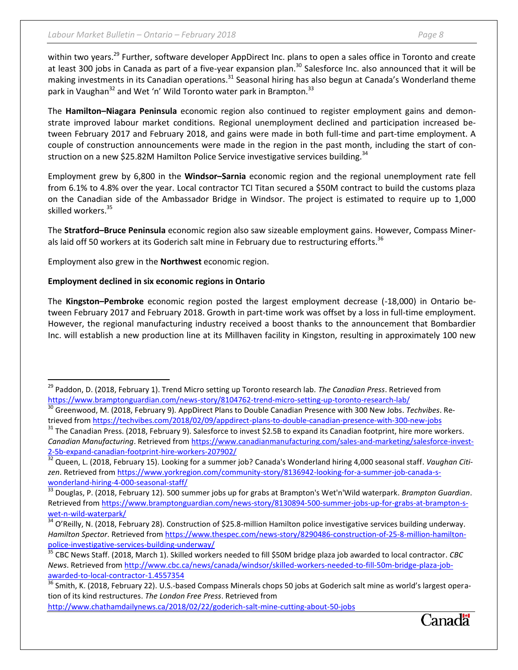within two years.<sup>29</sup> Further, software developer AppDirect Inc. plans to open a sales office in Toronto and create at least 300 jobs in Canada as part of a five-year expansion plan.<sup>30</sup> Salesforce Inc. also announced that it will be making investments in its Canadian operations.<sup>31</sup> Seasonal hiring has also begun at Canada's Wonderland theme park in Vaughan<sup>32</sup> and Wet 'n' Wild Toronto water park in Brampton.<sup>33</sup>

The **Hamilton–Niagara Peninsula** economic region also continued to register employment gains and demonstrate improved labour market conditions. Regional unemployment declined and participation increased between February 2017 and February 2018, and gains were made in both full-time and part-time employment. A couple of construction announcements were made in the region in the past month, including the start of construction on a new \$25.82M Hamilton Police Service investigative services building.<sup>34</sup>

Employment grew by 6,800 in the **Windsor–Sarnia** economic region and the regional unemployment rate fell from 6.1% to 4.8% over the year. Local contractor TCI Titan secured a \$50M contract to build the customs plaza on the Canadian side of the Ambassador Bridge in Windsor. The project is estimated to require up to 1,000 skilled workers.<sup>35</sup>

The **Stratford–Bruce Peninsula** economic region also saw sizeable employment gains. However, Compass Minerals laid off 50 workers at its Goderich salt mine in February due to restructuring efforts.<sup>36</sup>

Employment also grew in the **Northwest** economic region.

## **Employment declined in six economic regions in Ontario**

 $\overline{\phantom{a}}$ 

The **Kingston–Pembroke** economic region posted the largest employment decrease (-18,000) in Ontario between February 2017 and February 2018. Growth in part-time work was offset by a loss in full-time employment. However, the regional manufacturing industry received a boost thanks to the announcement that Bombardier Inc. will establish a new production line at its Millhaven facility in Kingston, resulting in approximately 100 new



<sup>29</sup> Paddon, D. (2018, February 1). Trend Micro setting up Toronto research lab. *The Canadian Press*. Retrieved from <https://www.bramptonguardian.com/news-story/8104762-trend-micro-setting-up-toronto-research-lab/>

<sup>30</sup> Greenwood, M. (2018, February 9). AppDirect Plans to Double Canadian Presence with 300 New Jobs. *Techvibes*. Retrieved from<https://techvibes.com/2018/02/09/appdirect-plans-to-double-canadian-presence-with-300-new-jobs>

<sup>&</sup>lt;sup>31</sup> The Canadian Press. (2018, February 9). Salesforce to invest \$2.5B to expand its Canadian footprint, hire more workers. *Canadian Manufacturing*. Retrieved fro[m https://www.canadianmanufacturing.com/sales-and-marketing/salesforce-invest-](https://www.canadianmanufacturing.com/sales-and-marketing/salesforce-invest-2-5b-expand-canadian-footprint-hire-workers-207902/)[2-5b-expand-canadian-footprint-hire-workers-207902/](https://www.canadianmanufacturing.com/sales-and-marketing/salesforce-invest-2-5b-expand-canadian-footprint-hire-workers-207902/)

<sup>32</sup> Queen, L. (2018, February 15). Looking for a summer job? Canada's Wonderland hiring 4,000 seasonal staff. *Vaughan Citizen*. Retrieved from [https://www.yorkregion.com/community-story/8136942-looking-for-a-summer-job-canada-s](https://www.yorkregion.com/community-story/8136942-looking-for-a-summer-job-canada-s-wonderland-hiring-4-000-seasonal-staff/)[wonderland-hiring-4-000-seasonal-staff/](https://www.yorkregion.com/community-story/8136942-looking-for-a-summer-job-canada-s-wonderland-hiring-4-000-seasonal-staff/)

<sup>33</sup> Douglas, P. (2018, February 12). 500 summer jobs up for grabs at Brampton's Wet'n'Wild waterpark. *Brampton Guardian*. Retrieved from [https://www.bramptonguardian.com/news-story/8130894-500-summer-jobs-up-for-grabs-at-brampton-s](https://www.bramptonguardian.com/news-story/8130894-500-summer-jobs-up-for-grabs-at-brampton-s-wet-n-wild-waterpark/)[wet-n-wild-waterpark/](https://www.bramptonguardian.com/news-story/8130894-500-summer-jobs-up-for-grabs-at-brampton-s-wet-n-wild-waterpark/)

<sup>34</sup> O'Reilly, N. (2018, February 28). Construction of \$25.8-million Hamilton police investigative services building underway. *Hamilton Spector*. Retrieved from [https://www.thespec.com/news-story/8290486-construction-of-25-8-million-hamilton](https://www.thespec.com/news-story/8290486-construction-of-25-8-million-hamilton-police-investigative-services-building-underway/)[police-investigative-services-building-underway/](https://www.thespec.com/news-story/8290486-construction-of-25-8-million-hamilton-police-investigative-services-building-underway/)

<sup>35</sup> CBC News Staff. (2018, March 1). Skilled workers needed to fill \$50M bridge plaza job awarded to local contractor. *CBC News*. Retrieved from [http://www.cbc.ca/news/canada/windsor/skilled-workers-needed-to-fill-50m-bridge-plaza-job](http://www.cbc.ca/news/canada/windsor/skilled-workers-needed-to-fill-50m-bridge-plaza-job-awarded-to-local-contractor-1.4557354)[awarded-to-local-contractor-1.4557354](http://www.cbc.ca/news/canada/windsor/skilled-workers-needed-to-fill-50m-bridge-plaza-job-awarded-to-local-contractor-1.4557354)

<sup>36</sup> Smith, K. (2018, February 22). U.S.-based Compass Minerals chops 50 jobs at Goderich salt mine as world's largest operation of its kind restructures. *The London Free Press*. Retrieved from

<http://www.chathamdailynews.ca/2018/02/22/goderich-salt-mine-cutting-about-50-jobs>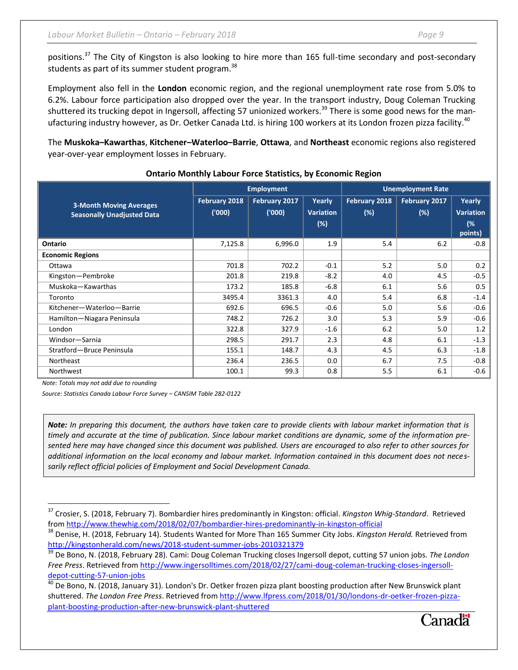positions.<sup>37</sup> The City of Kingston is also looking to hire more than 165 full-time secondary and post-secondary students as part of its summer student program.<sup>38</sup>

Employment also fell in the **London** economic region, and the regional unemployment rate rose from 5.0% to 6.2%. Labour force participation also dropped over the year. In the transport industry, Doug Coleman Trucking shuttered its trucking depot in Ingersoll, affecting 57 unionized workers.<sup>39</sup> There is some good news for the manufacturing industry however, as Dr. Oetker Canada Ltd. is hiring 100 workers at its London frozen pizza facility.<sup>40</sup>

The **Muskoka–Kawarthas**, **Kitchener–Waterloo–Barrie**, **Ottawa**, and **Northeast** economic regions also registered year-over-year employment losses in February.

|                                                                     |                        | <b>Employment</b>      |                                      | <b>Unemployment Rate</b> |                         |                                             |  |
|---------------------------------------------------------------------|------------------------|------------------------|--------------------------------------|--------------------------|-------------------------|---------------------------------------------|--|
| <b>3-Month Moving Averages</b><br><b>Seasonally Unadjusted Data</b> | February 2018<br>(000) | February 2017<br>(000) | Yearly<br><b>Variation</b><br>$(\%)$ | February 2018<br>(%)     | February 2017<br>$(\%)$ | Yearly<br><b>Variation</b><br>(%<br>points) |  |
| Ontario                                                             | 7,125.8                | 6,996.0                | 1.9                                  | 5.4                      | 6.2                     | $-0.8$                                      |  |
| <b>Economic Regions</b>                                             |                        |                        |                                      |                          |                         |                                             |  |
| Ottawa                                                              | 701.8                  | 702.2                  | $-0.1$                               | 5.2                      | 5.0                     | 0.2                                         |  |
| Kingston-Pembroke                                                   | 201.8                  | 219.8                  | $-8.2$                               | 4.0                      | 4.5                     | $-0.5$                                      |  |
| Muskoka-Kawarthas                                                   | 173.2                  | 185.8                  | $-6.8$                               | 6.1                      | 5.6                     | 0.5                                         |  |
| Toronto                                                             | 3495.4                 | 3361.3                 | 4.0                                  | 5.4                      | 6.8                     | $-1.4$                                      |  |
| Kitchener-Waterloo-Barrie                                           | 692.6                  | 696.5                  | $-0.6$                               | 5.0                      | 5.6                     | $-0.6$                                      |  |
| Hamilton-Niagara Peninsula                                          | 748.2                  | 726.2                  | 3.0                                  | 5.3                      | 5.9                     | $-0.6$                                      |  |
| London                                                              | 322.8                  | 327.9                  | $-1.6$                               | 6.2                      | 5.0                     | 1.2                                         |  |
| Windsor-Sarnia                                                      | 298.5                  | 291.7                  | 2.3                                  | 4.8                      | 6.1                     | $-1.3$                                      |  |
| Stratford-Bruce Peninsula                                           | 155.1                  | 148.7                  | 4.3                                  | 4.5                      | 6.3                     | $-1.8$                                      |  |
| Northeast                                                           | 236.4                  | 236.5                  | 0.0                                  | 6.7                      | 7.5                     | $-0.8$                                      |  |
| Northwest                                                           | 100.1                  | 99.3                   | 0.8                                  | 5.5                      | 6.1                     | $-0.6$                                      |  |

#### **Ontario Monthly Labour Force Statistics, by Economic Region**

*Note: Totals may not add due to rounding*

 $\overline{\phantom{a}}$ 

*Source: Statistics Canada Labour Force Survey – CANSIM Table 282-0122*

*Note: In preparing this document, the authors have taken care to provide clients with labour market information that is timely and accurate at the time of publication. Since labour market conditions are dynamic, some of the information presented here may have changed since this document was published. Users are encouraged to also refer to other sources for additional information on the local economy and labour market. Information contained in this document does not necessarily reflect official policies of Employment and Social Development Canada.*

<sup>37</sup> Crosier, S. (2018, February 7). Bombardier hires predominantly in Kingston: official. *Kingston Whig-Standard*. Retrieved from<http://www.thewhig.com/2018/02/07/bombardier-hires-predominantly-in-kingston-official>

<sup>38</sup> Denise, H. (2018, February 14). Students Wanted for More Than 165 Summer City Jobs. *Kingston Herald.* Retrieved from <http://kingstonherald.com/news/2018-student-summer-jobs-2010321379>

<sup>39</sup> De Bono, N. (2018, February 28). Cami: Doug Coleman Trucking closes Ingersoll depot, cutting 57 union jobs. *The London Free Press*. Retrieved from [http://www.ingersolltimes.com/2018/02/27/cami-doug-coleman-trucking-closes-ingersoll](http://www.ingersolltimes.com/2018/02/27/cami-doug-coleman-trucking-closes-ingersoll-depot-cutting-57-union-jobs)[depot-cutting-57-union-jobs](http://www.ingersolltimes.com/2018/02/27/cami-doug-coleman-trucking-closes-ingersoll-depot-cutting-57-union-jobs)

 $^{40}$  De Bono, N. (2018, January 31). London's Dr. Oetker frozen pizza plant boosting production after New Brunswick plant shuttered. *The London Free Press*. Retrieved from [http://www.lfpress.com/2018/01/30/londons-dr-oetker-frozen-pizza](http://www.lfpress.com/2018/01/30/londons-dr-oetker-frozen-pizza-plant-boosting-production-after-new-brunswick-plant-shuttered)[plant-boosting-production-after-new-brunswick-plant-shuttered](http://www.lfpress.com/2018/01/30/londons-dr-oetker-frozen-pizza-plant-boosting-production-after-new-brunswick-plant-shuttered)